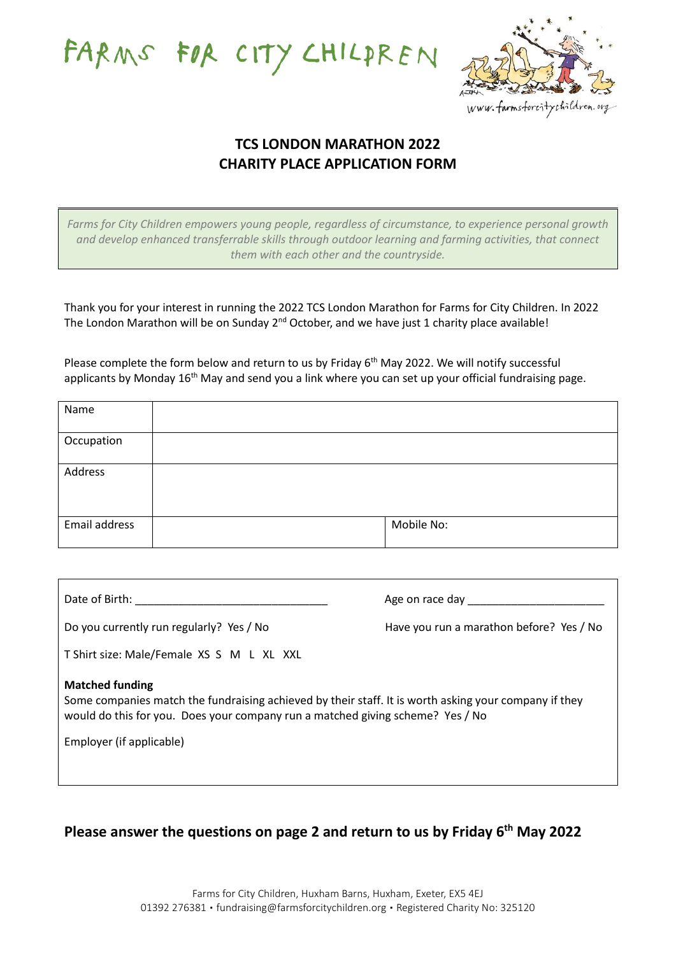FARMS FOR CITY CHILPREN



## **TCS LONDON MARATHON 2022 CHARITY PLACE APPLICATION FORM**

*Farms for City Children empowers young people, regardless of circumstance, to experience personal growth and develop enhanced transferrable skills through outdoor learning and farming activities, that connect them with each other and the countryside.*

Thank you for your interest in running the 2022 TCS London Marathon for Farms for City Children. In 2022 The London Marathon will be on Sunday 2<sup>nd</sup> October, and we have just 1 charity place available!

Please complete the form below and return to us by Friday 6<sup>th</sup> May 2022. We will notify successful applicants by Monday 16<sup>th</sup> May and send you a link where you can set up your official fundraising page.

| Name          |            |
|---------------|------------|
| Occupation    |            |
|               |            |
| Address       |            |
|               |            |
|               |            |
| Email address | Mobile No: |
|               |            |

| Date of Birth: National State of Birth:                                                                                                                                                                           | Age on race day                          |  |  |
|-------------------------------------------------------------------------------------------------------------------------------------------------------------------------------------------------------------------|------------------------------------------|--|--|
| Do you currently run regularly? Yes / No                                                                                                                                                                          | Have you run a marathon before? Yes / No |  |  |
| T Shirt size: Male/Female XS S M L XL XXL                                                                                                                                                                         |                                          |  |  |
| <b>Matched funding</b><br>Some companies match the fundraising achieved by their staff. It is worth asking your company if they<br>would do this for you. Does your company run a matched giving scheme? Yes / No |                                          |  |  |
| Employer (if applicable)                                                                                                                                                                                          |                                          |  |  |

**Please answer the questions on page 2 and return to us by Friday 6 th May 2022**